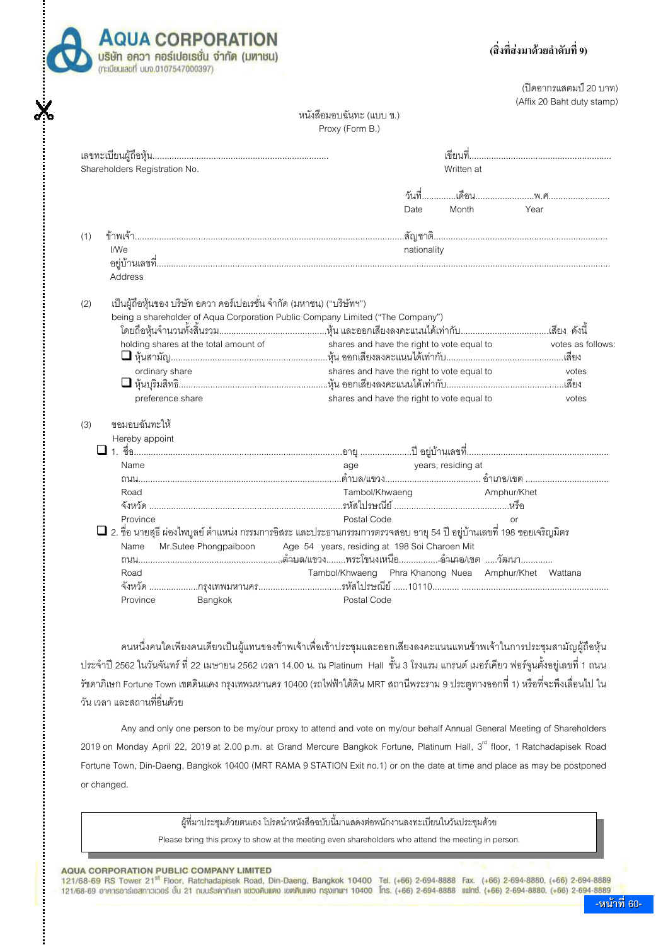

# (สิ่งที่ส่งมาด้วยลำดับที่ 9)

(ปิดอากรแสตมป์ 20 บาท) (Affix 20 Baht duty stamp)

## หนังสือมอบฉันทะ (แบบ ข.) Proxy (Form B.)

| Shareholders Registration No.<br>Written at                                                                                |                   |
|----------------------------------------------------------------------------------------------------------------------------|-------------------|
|                                                                                                                            |                   |
| Month<br>Date                                                                                                              | Year              |
| (1)                                                                                                                        |                   |
| nationality<br>I/We<br>Address                                                                                             |                   |
| เป็นผู้ถือหุ้นของ บริษัท อควา คอร์เปอเรชั่น จำกัด (มหาชน) ("บริษัทฯ")<br>(2)                                               |                   |
| being a shareholder of Aqua Corporation Public Company Limited ("The Company")                                             |                   |
|                                                                                                                            |                   |
| holding shares at the total amount of<br>shares and have the right to vote equal to                                        | votes as follows: |
|                                                                                                                            |                   |
| shares and have the right to vote equal to<br>ordinary share                                                               | votes             |
|                                                                                                                            |                   |
| shares and have the right to vote equal to<br>preference share                                                             | votes             |
| ขอมอบฉันทะให้<br>(3)                                                                                                       |                   |
| Hereby appoint                                                                                                             |                   |
|                                                                                                                            |                   |
| age years, residing at<br>Name                                                                                             |                   |
|                                                                                                                            |                   |
| Tambol/Khwaeng<br>Road<br>Amphur/Khet                                                                                      |                   |
|                                                                                                                            |                   |
| Postal Code<br>Province<br>or                                                                                              |                   |
| $\Box$ 2. ชื่อ นายสุธี ผ่องไพบูลย์ ตำแหน่ง กรรมการอิสระ และประธานกรรมการตรวจสอบ อายุ 54 ปี อยู่บ้านเลขที่ 198 ซอยเจริญมิตร |                   |
| Mr.Sutee Phongpaiboon<br>Age 54 years, residing at 198 Soi Charoen Mit<br>Name                                             |                   |
|                                                                                                                            |                   |
| Tambol/Khwaeng Phra Khanong Nuea Amphur/Khet Wattana<br>Road                                                               |                   |
|                                                                                                                            |                   |

้คนหนึ่งคนใดเพียงคนเดียวเป็นผู้แทนของข้าพเจ้าเพื่อเข้าประชุมและออกเสียงลงคะแนนแทนข้าพเจ้าในการประชุมสามัญผู้ถือหุ้น ู ประจำปี 2562 ในวันจันทร์ ที่ 22 เมษายน 2562 เวลา 14.00 น. ณ Platinum Hall ชั้น 3 โรงแรม แกรนด์ เมอร์เคียว ฟอร์จูนตั้งอยู่เลขที่ 1 ถนน ์ชดาภิเษก Fortune Town เขตดินแดง กรงเทพมหานคร 10400 (รถไฟฟ้าใต้ดิน MRT สถานีพระราม 9 ประตทางออกที่ 1) หรือที่จะพึงเลื่อนไป ใน ้วัน เวลา และสถานที่คืนด้วย

Any and only one person to be my/our proxy to attend and yote on my/our behalf Annual General Meeting of Shareholders 2019 on Monday April 22, 2019 at 2.00 p.m. at Grand Mercure Bangkok Fortune, Platinum Hall, 3<sup>rd</sup> floor, 1 Ratchadapisek Road Fortune Town, Din-Daeng, Bangkok 10400 (MRT RAMA 9 STATION Exit no.1) or on the date at time and place as may be postponed or changed.

ผ้ที่มาประชมด้วยตนเอง โปรดนำหนังสือฉบับนี้มาแสดงต่อพนักงานลงทะเบียนในวันประชมด้วย

Please bring this proxy to show at the meeting even shareholders who attend the meeting in person.

### AQUA CORPORATION PUBLIC COMPANY LIMITED

121/68-69 RS Tower 21<sup>st</sup> Floor, Ratchadapisek Road, Din-Daeng, Bangkok 10400 Tel. (+66) 2-694-8888 Fax. (+66) 2-694-8880, (+66) 2-694-8889 121/68-69 อาคารอาร์เอสทาวเวอร์ ชั้น 21 กบบรัชคาภิเษก แขวงดินแดง เขตดินแดง กรุงเทพฯ 10400 โทร. (+66) 2-694-8888 แฟทซ์. (+66) 2-694-8880. (+66) 2-694-8889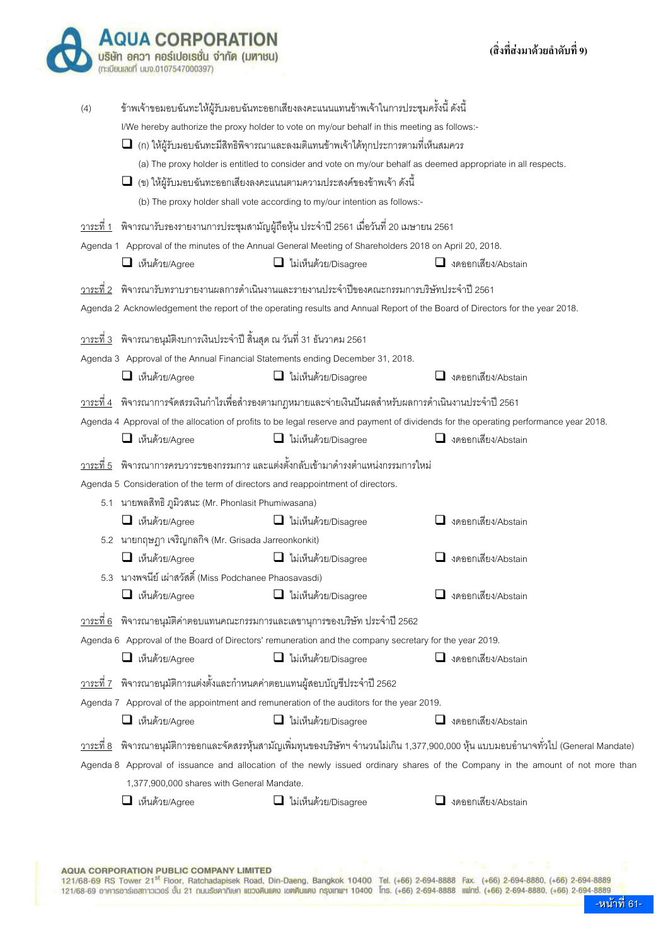|                   | บริษัท อควา คอร์เปอเรชั่น จำกัด (มหาชน)<br>(ทะเบียนเลขที่ บมจ.0107547000397                                                            |                                                                                                                                                                                                                                                                                                                                                                                                                                                                                                                                                            | (สงทสงมาด้วยล้ำดับท 9)                                                                                                                                                                                                                                                                        |
|-------------------|----------------------------------------------------------------------------------------------------------------------------------------|------------------------------------------------------------------------------------------------------------------------------------------------------------------------------------------------------------------------------------------------------------------------------------------------------------------------------------------------------------------------------------------------------------------------------------------------------------------------------------------------------------------------------------------------------------|-----------------------------------------------------------------------------------------------------------------------------------------------------------------------------------------------------------------------------------------------------------------------------------------------|
| (4)               |                                                                                                                                        | ข้าพเจ้าขอมอบฉันทะให้ผู้รับมอบฉันทะออกเสียงลงคะแนนแทนข้าพเจ้าในการประชุมครั้งนี้ ดังนี้<br>I/We hereby authorize the proxy holder to vote on my/our behalf in this meeting as follows:-<br>(ก) ให้ผู้รับมอบฉันทะมีสิทธิพิจารณาและลงมติแทนข้าพเจ้าได้ทุกประการตามที่เห็นสมควร<br>(a) The proxy holder is entitled to consider and vote on my/our behalf as deemed appropriate in all respects.<br>$\Box$ (ข) ให้ผู้รับมอบฉันทะออกเสียงลงคะแนนตามความประสงค์ของข้าพเจ้า ดังนี้<br>(b) The proxy holder shall vote according to my/our intention as follows:- |                                                                                                                                                                                                                                                                                               |
|                   | $\Box$ เห็นด้วย/Agree                                                                                                                  | <u>วาระที่ 1</u> พิจารณารับรองรายงานการประชุมสามัญผู้ถือหุ้น ประจำปี 2561 เมื่อวันที่ 20 เมษายน 2561<br>Agenda 1 Approval of the minutes of the Annual General Meeting of Shareholders 2018 on April 20, 2018.<br>$\Box$ ไม่เห็นด้วย/Disagree                                                                                                                                                                                                                                                                                                              | $\Box$ งดออกเสียง/Abstain                                                                                                                                                                                                                                                                     |
| วาระที่ 2         |                                                                                                                                        | ี พิจารณารับทราบรายงานผลการดำเนินงานและรายงานประจำปีของคณะกรรมการบริษัทประจำปี 2561<br>Agenda 2 Acknowledgement the report of the operating results and Annual Report of the Board of Directors for the year 2018.                                                                                                                                                                                                                                                                                                                                         |                                                                                                                                                                                                                                                                                               |
|                   | <u>วาระที่ 3</u> พิจารณาอนุมัติงบการเงินประจำปี สิ้นสุด ณ วันที่ 31 ธันวาคม 2561<br>$\Box$ เห็นด้วย/Agree                              | Agenda 3 Approval of the Annual Financial Statements ending December 31, 2018.<br>ไม่เห็นด้วย/Disagree                                                                                                                                                                                                                                                                                                                                                                                                                                                     | $\Box$ งดออกเสียง/Abstain                                                                                                                                                                                                                                                                     |
|                   | เห็นด้วย/Agree                                                                                                                         | <u>วาระที่ 4</u> พิจารณาการจัดสรรเงินกำไรเพื่อสำรองตามกฎหมายและจ่ายเงินปันผลสำหรับผลการดำเนินงานประจำปี 2561<br>$\Box$ ไม่เห็นด้วย/Disagree                                                                                                                                                                                                                                                                                                                                                                                                                | Agenda 4 Approval of the allocation of profits to be legal reserve and payment of dividends for the operating performance year 2018.<br>งดออกเสียง/Abstain                                                                                                                                    |
| <u>วาระ</u> ที่ 5 | Agenda 5 Consideration of the term of directors and reappointment of directors.<br>5.1 นายพลสิทธิ ภูมิวสนะ (Mr. Phonlasit Phumiwasana) | ี พิจารณาการครบวาระของกรรมการ และแต่งตั้งกลับเข้ามาดำรงตำแหน่งกรรมการใหม่                                                                                                                                                                                                                                                                                                                                                                                                                                                                                  |                                                                                                                                                                                                                                                                                               |
|                   | $\Box$ เห็นด้วย/Agree<br>5.2 นายกฤษฎา เจริญกลกิจ (Mr. Grisada Jarreonkonkit)<br>เห็นด้วย/Agree                                         | ไม่เห็นด้วย/Disagree<br>ไม่เห็นด้วย/Disagree                                                                                                                                                                                                                                                                                                                                                                                                                                                                                                               | งดออกเสียง/Abstain<br>$\Box$ งดออกเสียง/Abstain                                                                                                                                                                                                                                               |
|                   | 5.3 นางพจนีย์ เผ่าสวัสดิ์ (Miss Podchanee Phaosavasdi)<br>เห็นด้วย/Agree                                                               | ไม่เห็นด้วย/Disagree                                                                                                                                                                                                                                                                                                                                                                                                                                                                                                                                       | งดออกเสียง/Abstain                                                                                                                                                                                                                                                                            |
| <u>วาระที่ 6</u>  | $\Box$ เห็นด้วย/Agree                                                                                                                  | พิจารณาอนุมัติค่าตอบแทนคณะกรรมการและเลขานุการของบริษัท ประจำปี 2562<br>Agenda 6 Approval of the Board of Directors' remuneration and the company secretary for the year 2019.<br>$\Box$ ไม่เห็นด้วย/Disagree                                                                                                                                                                                                                                                                                                                                               | $\Box$ งดออกเสียง/Abstain                                                                                                                                                                                                                                                                     |
|                   | <u>วาระที่ 7</u> พิจารณาอนุมัติการแต่งตั้งและกำหนดค่าตอบแทนผู้สอบบัญชีประจำปี 2562<br>$\Box$ เห็นด้วย/Agree                            | Agenda 7 Approval of the appointment and remuneration of the auditors for the year 2019.<br>$\Box$ ไม่เห็นด้วย/Disagree                                                                                                                                                                                                                                                                                                                                                                                                                                    | $\Box$ งดออกเสียง/Abstain                                                                                                                                                                                                                                                                     |
| <u>วาระที่ 8</u>  | 1,377,900,000 shares with General Mandate.                                                                                             |                                                                                                                                                                                                                                                                                                                                                                                                                                                                                                                                                            | ี พิจารณาอนุมัติการออกและจัดสรรหุ้นสามัญเพิ่มทุนของบริษัทฯ จำนวนไม่เกิน 1,377,900,000 หุ้น แบบมอบอำนาจทั่วไป (General Mandate)<br>Agenda 8 Approval of issuance and allocation of the newly issued ordinary shares of the Company in the amount of not more than<br>$\Box$ งดออกเสียง/Abstain |
|                   | $\Box$ เห็นด้วย/Agree                                                                                                                  | $\Box$ ไม่เห็นด้วย/Disagree                                                                                                                                                                                                                                                                                                                                                                                                                                                                                                                                |                                                                                                                                                                                                                                                                                               |

**AQUA CORPORATION** 

(สิ่งที่ส่งมาด้วยลำดับที่ 9)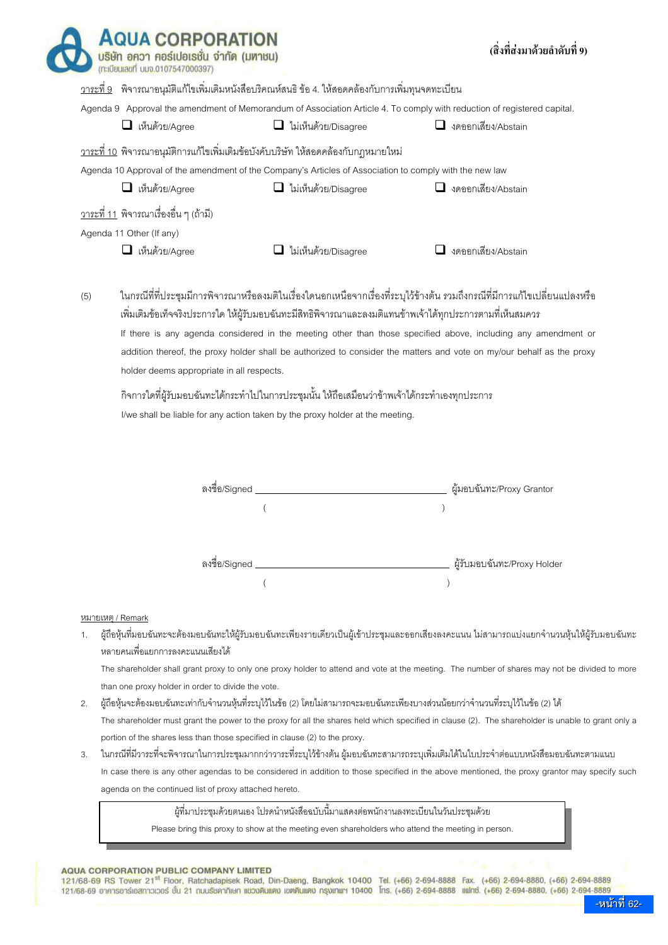|     |                                               | <u>วาระที่ 9</u> พิจารณาอนุมัติแก้ไขเพิ่มเติมหนังสือบริคณห์สนธิ ข้อ 4. ให้สอดคล้องกับการเพิ่มทุนจดทะเบียน                                                                        |                                                                                                                                                                                                                                                                                                                                                                      |
|-----|-----------------------------------------------|----------------------------------------------------------------------------------------------------------------------------------------------------------------------------------|----------------------------------------------------------------------------------------------------------------------------------------------------------------------------------------------------------------------------------------------------------------------------------------------------------------------------------------------------------------------|
|     |                                               |                                                                                                                                                                                  | Agenda 9 Approval the amendment of Memorandum of Association Article 4. To comply with reduction of registered capital.                                                                                                                                                                                                                                              |
|     | $\Box$ เห็นด้วย/Agree                         | $\Box$ ไม่เห็นด้วย/Disagree                                                                                                                                                      | $\Box$ งดออกเสียง/Abstain                                                                                                                                                                                                                                                                                                                                            |
|     |                                               | <u>วาระที่ 10</u> พิจารณาอนุมัติการแก้ไขเพิ่มเติมข้อบังคับบริษัท ให้สอดคล้องกับกฎหมายใหม่                                                                                        |                                                                                                                                                                                                                                                                                                                                                                      |
|     |                                               | Agenda 10 Approval of the amendment of the Company's Articles of Association to comply with the new law                                                                          |                                                                                                                                                                                                                                                                                                                                                                      |
|     | เห็นด้วย/Agree<br>⊔.                          | $\Box$ ไม่เห็นด้วย/Disagree                                                                                                                                                      | $\Box$ งดออกเสียง/Abstain                                                                                                                                                                                                                                                                                                                                            |
|     | <u>วาระที่ 11</u> พิจารณาเรื่องอื่น ๆ (ถ้ามี) |                                                                                                                                                                                  |                                                                                                                                                                                                                                                                                                                                                                      |
|     | Agenda 11 Other (If any)                      |                                                                                                                                                                                  |                                                                                                                                                                                                                                                                                                                                                                      |
|     | เห็นด้วย/Agree                                |                                                                                                                                                                                  | $\Box$ งดออกเสียง/Abstain                                                                                                                                                                                                                                                                                                                                            |
|     | holder deems appropriate in all respects.     | ไม่เห็นด้วย/Disagree<br>้เพิ่มเติมข้อเท็จจริงประการใด ให้ผู้รับมอบฉันทะมีสิทธิพิจารณาและลงมติแทนข้าพเจ้าได้ทุกประการตามที่เห็นสมควร                                              | ในกรณีที่ที่ประชุมมีการพิจารณาหรือลงมติในเรื่องใดนอกเหนือจากเรื่องที่ระบุไว้ข้างต้น รวมถึงกรณีที่มีการแก้ไขเปลี่ยนแปลงหรือ<br>If there is any agenda considered in the meeting other than those specified above, including any amendment or<br>addition thereof, the proxy holder shall be authorized to consider the matters and vote on my/our behalf as the proxy |
| (5) |                                               | ้กิจการใดที่ผู้รับมอบฉันทะได้กระทำไปในการประชุมนั้น ให้ถือเสมือนว่าข้าพเจ้าได้กระทำเองทุกประการ<br>I/we shall be liable for any action taken by the proxy holder at the meeting. |                                                                                                                                                                                                                                                                                                                                                                      |
|     |                                               |                                                                                                                                                                                  |                                                                                                                                                                                                                                                                                                                                                                      |
|     | ลงชื่อ/Signed __                              |                                                                                                                                                                                  | ผู้มอบฉันทะ/Proxy Grantor                                                                                                                                                                                                                                                                                                                                            |
|     |                                               |                                                                                                                                                                                  |                                                                                                                                                                                                                                                                                                                                                                      |
|     |                                               |                                                                                                                                                                                  |                                                                                                                                                                                                                                                                                                                                                                      |

 The shareholder shall grant proxy to only one proxy holder to attend and vote at the meeting. The number of shares may not be divided to more than one proxy holder in order to divide the vote.

- 2. ผู้ถือหุ้นจะต้องมอบฉันทะเท่ากับจำนวนหุ้นที่ระบุไว้ในข้อ (2) โดยไม่สามารถจะมอบฉันทะเพียงบางส่วนน้อยกว่าจำนวนที่ระบุไว้ในข้อ (2) ได้ The shareholder must grant the power to the proxy for all the shares held which specified in clause (2). The shareholder is unable to grant only a portion of the shares less than those specified in clause (2) to the proxy.
- 3. ในกรณีที่มีวาระที่จะพิจารณาในการประชุมมากกว่าวาระที่ระบุไว้ข้างต้น ผู้มอบฉันทะสามารถระบุเพิ่มเติมได้ในใบประจำต่อแบบหนังสือมอบฉันทะตามแนบ In case there is any other agendas to be considered in addition to those specified in the above mentioned, the proxy grantor may specify such agenda on the continued list of proxy attached hereto.

ผู้ที่มาประชุมด้วยตนเอง โปรดนำหนังสือฉบับนี้มาแสดงต่อพนักงานลงทะเบียนในวันประชุมด้วย

Please bring this proxy to show at the meeting even shareholders who attend the meeting in person.

### AQUA CORPORATION PUBLIC COMPANY LIMITED